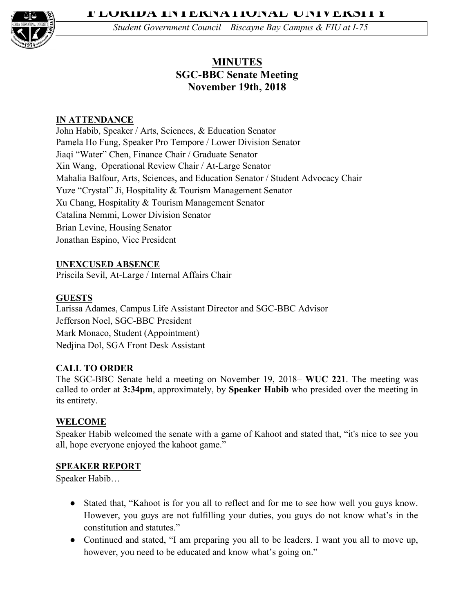

*Student Government Council – Biscayne Bay Campus & FIU at I-75*

# **MINUTES SGC-BBC Senate Meeting November 19th, 2018**

## **IN ATTENDANCE**

John Habib, Speaker / Arts, Sciences, & Education Senator Pamela Ho Fung, Speaker Pro Tempore / Lower Division Senator Jiaqi "Water" Chen, Finance Chair / Graduate Senator Xin Wang, Operational Review Chair / At-Large Senator Mahalia Balfour, Arts, Sciences, and Education Senator / Student Advocacy Chair Yuze "Crystal" Ji, Hospitality & Tourism Management Senator Xu Chang, Hospitality & Tourism Management Senator Catalina Nemmi, Lower Division Senator Brian Levine, Housing Senator Jonathan Espino, Vice President

## **UNEXCUSED ABSENCE**

Priscila Sevil, At-Large / Internal Affairs Chair

## **GUESTS**

Larissa Adames, Campus Life Assistant Director and SGC-BBC Advisor Jefferson Noel, SGC-BBC President Mark Monaco, Student (Appointment) Nedjina Dol, SGA Front Desk Assistant

### **CALL TO ORDER**

The SGC-BBC Senate held a meeting on November 19, 2018– **WUC 221**. The meeting was called to order at **3:34pm**, approximately, by **Speaker Habib** who presided over the meeting in its entirety.

### **WELCOME**

Speaker Habib welcomed the senate with a game of Kahoot and stated that, "it's nice to see you all, hope everyone enjoyed the kahoot game."

### **SPEAKER REPORT**

Speaker Habib…

- Stated that, "Kahoot is for you all to reflect and for me to see how well you guys know. However, you guys are not fulfilling your duties, you guys do not know what's in the constitution and statutes."
- Continued and stated, "I am preparing you all to be leaders. I want you all to move up, however, you need to be educated and know what's going on."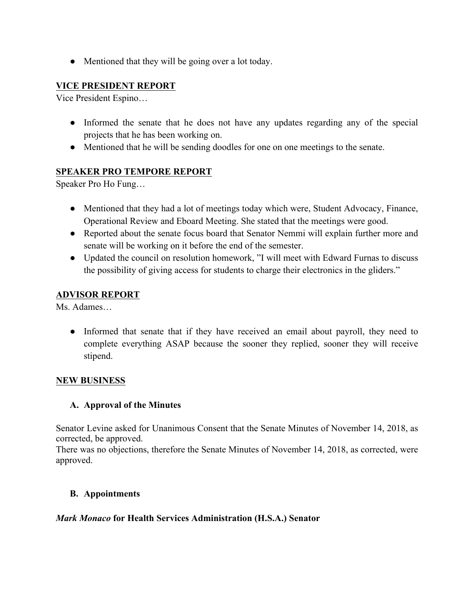• Mentioned that they will be going over a lot today.

## **VICE PRESIDENT REPORT**

Vice President Espino…

- Informed the senate that he does not have any updates regarding any of the special projects that he has been working on.
- Mentioned that he will be sending doodles for one on one meetings to the senate.

## **SPEAKER PRO TEMPORE REPORT**

Speaker Pro Ho Fung…

- Mentioned that they had a lot of meetings today which were, Student Advocacy, Finance, Operational Review and Eboard Meeting. She stated that the meetings were good.
- Reported about the senate focus board that Senator Nemmi will explain further more and senate will be working on it before the end of the semester.
- Updated the council on resolution homework, "I will meet with Edward Furnas to discuss the possibility of giving access for students to charge their electronics in the gliders."

### **ADVISOR REPORT**

Ms. Adames…

• Informed that senate that if they have received an email about payroll, they need to complete everything ASAP because the sooner they replied, sooner they will receive stipend.

### **NEW BUSINESS**

### **A. Approval of the Minutes**

Senator Levine asked for Unanimous Consent that the Senate Minutes of November 14, 2018, as corrected, be approved.

There was no objections, therefore the Senate Minutes of November 14, 2018, as corrected, were approved.

### **B. Appointments**

### *Mark Monaco* **for Health Services Administration (H.S.A.) Senator**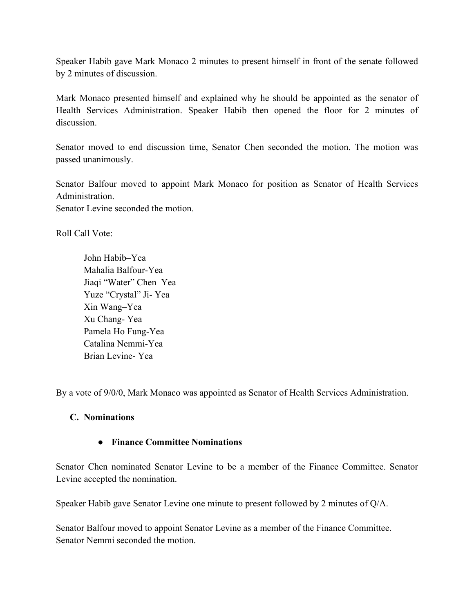Speaker Habib gave Mark Monaco 2 minutes to present himself in front of the senate followed by 2 minutes of discussion.

Mark Monaco presented himself and explained why he should be appointed as the senator of Health Services Administration. Speaker Habib then opened the floor for 2 minutes of discussion.

Senator moved to end discussion time, Senator Chen seconded the motion. The motion was passed unanimously.

Senator Balfour moved to appoint Mark Monaco for position as Senator of Health Services Administration.

Senator Levine seconded the motion.

Roll Call Vote:

John Habib–Yea Mahalia Balfour-Yea Jiaqi "Water" Chen–Yea Yuze "Crystal" Ji- Yea Xin Wang–Yea Xu Chang- Yea Pamela Ho Fung-Yea Catalina Nemmi-Yea Brian Levine- Yea

By a vote of 9/0/0, Mark Monaco was appointed as Senator of Health Services Administration.

#### **C. Nominations**

#### ● **Finance Committee Nominations**

Senator Chen nominated Senator Levine to be a member of the Finance Committee. Senator Levine accepted the nomination.

Speaker Habib gave Senator Levine one minute to present followed by 2 minutes of Q/A.

Senator Balfour moved to appoint Senator Levine as a member of the Finance Committee. Senator Nemmi seconded the motion.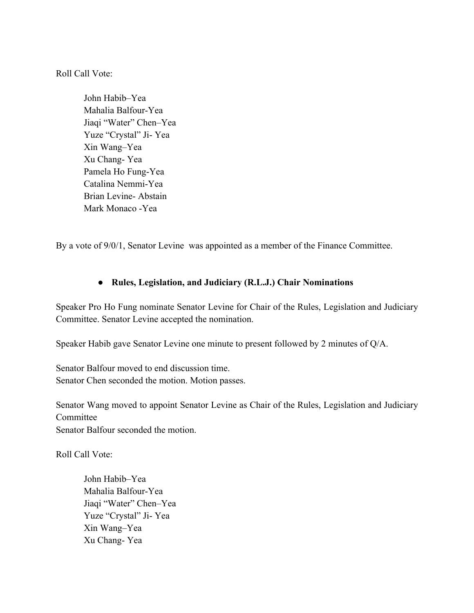Roll Call Vote:

John Habib–Yea Mahalia Balfour-Yea Jiaqi "Water" Chen–Yea Yuze "Crystal" Ji- Yea Xin Wang–Yea Xu Chang- Yea Pamela Ho Fung-Yea Catalina Nemmi-Yea Brian Levine- Abstain Mark Monaco -Yea

By a vote of 9/0/1, Senator Levine was appointed as a member of the Finance Committee.

### ● **Rules, Legislation, and Judiciary (R.L.J.) Chair Nominations**

Speaker Pro Ho Fung nominate Senator Levine for Chair of the Rules, Legislation and Judiciary Committee. Senator Levine accepted the nomination.

Speaker Habib gave Senator Levine one minute to present followed by 2 minutes of Q/A.

Senator Balfour moved to end discussion time. Senator Chen seconded the motion. Motion passes.

Senator Wang moved to appoint Senator Levine as Chair of the Rules, Legislation and Judiciary Committee

Senator Balfour seconded the motion.

Roll Call Vote:

John Habib–Yea Mahalia Balfour-Yea Jiaqi "Water" Chen–Yea Yuze "Crystal" Ji- Yea Xin Wang–Yea Xu Chang- Yea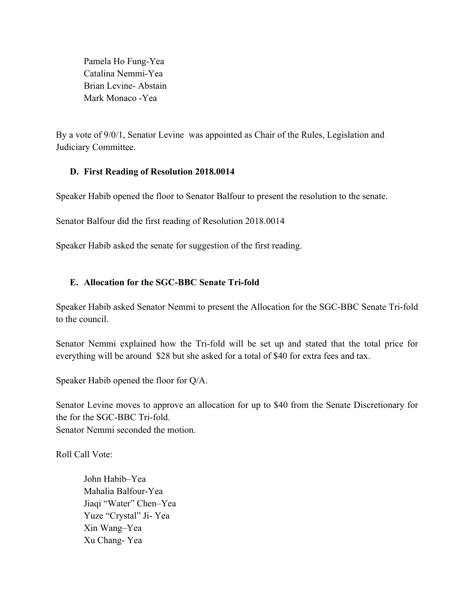Pamela Ho Fung-Yea Catalina Nemmi-Yea Brian Levine- Abstain Mark Monaco -Yea

By a vote of 9/0/1, Senator Levine was appointed as Chair of the Rules, Legislation and Judiciary Committee.

## **D. First Reading of Resolution 2018.0014**

Speaker Habib opened the floor to Senator Balfour to present the resolution to the senate.

Senator Balfour did the first reading of Resolution 2018.0014

Speaker Habib asked the senate for suggestion of the first reading.

## **E. Allocation for the SGC-BBC Senate Tri-fold**

Speaker Habib asked Senator Nemmi to present the Allocation for the SGC-BBC Senate Tri-fold to the council.

Senator Nemmi explained how the Tri-fold will be set up and stated that the total price for everything will be around \$28 but she asked for a total of \$40 for extra fees and tax.

Speaker Habib opened the floor for Q/A.

Senator Levine moves to approve an allocation for up to \$40 from the Senate Discretionary for the for the SGC-BBC Tri-fold. Senator Nemmi seconded the motion.

Roll Call Vote:

John Habib–Yea Mahalia Balfour-Yea Jiaqi "Water" Chen–Yea Yuze "Crystal" Ji- Yea Xin Wang–Yea Xu Chang- Yea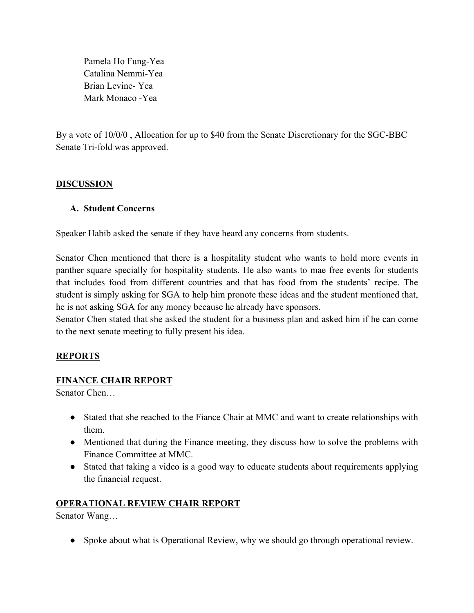Pamela Ho Fung-Yea Catalina Nemmi-Yea Brian Levine- Yea Mark Monaco -Yea

By a vote of 10/0/0 , Allocation for up to \$40 from the Senate Discretionary for the SGC-BBC Senate Tri-fold was approved.

## **DISCUSSION**

### **A. Student Concerns**

Speaker Habib asked the senate if they have heard any concerns from students.

Senator Chen mentioned that there is a hospitality student who wants to hold more events in panther square specially for hospitality students. He also wants to mae free events for students that includes food from different countries and that has food from the students' recipe. The student is simply asking for SGA to help him pronote these ideas and the student mentioned that, he is not asking SGA for any money because he already have sponsors.

Senator Chen stated that she asked the student for a business plan and asked him if he can come to the next senate meeting to fully present his idea.

## **REPORTS**

### **FINANCE CHAIR REPORT**

Senator Chen…

- Stated that she reached to the Fiance Chair at MMC and want to create relationships with them.
- Mentioned that during the Finance meeting, they discuss how to solve the problems with Finance Committee at MMC.
- Stated that taking a video is a good way to educate students about requirements applying the financial request.

### **OPERATIONAL REVIEW CHAIR REPORT**

Senator Wang…

• Spoke about what is Operational Review, why we should go through operational review.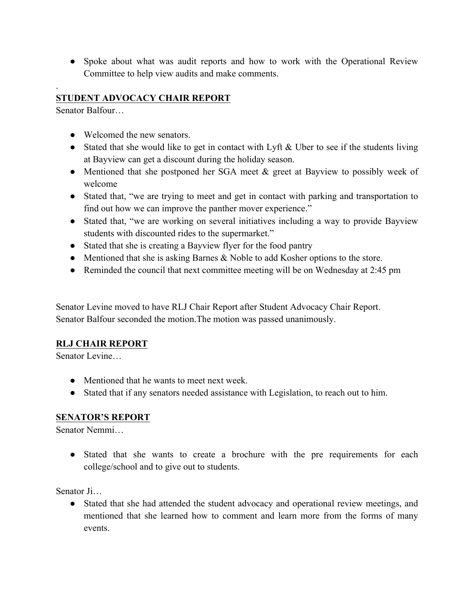● Spoke about what was audit reports and how to work with the Operational Review Committee to help view audits and make comments.

# **STUDENT ADVOCACY CHAIR REPORT**

Senator Balfour…

.

- Welcomed the new senators.
- Stated that she would like to get in contact with Lyft & Uber to see if the students living at Bayview can get a discount during the holiday season.
- Mentioned that she postponed her SGA meet & greet at Bayview to possibly week of welcome
- Stated that, "we are trying to meet and get in contact with parking and transportation to find out how we can improve the panther mover experience."
- Stated that, "we are working on several initiatives including a way to provide Bayview students with discounted rides to the supermarket."
- Stated that she is creating a Bayview flyer for the food pantry
- Mentioned that she is asking Barnes & Noble to add Kosher options to the store.
- Reminded the council that next committee meeting will be on Wednesday at 2:45 pm

Senator Levine moved to have RLJ Chair Report after Student Advocacy Chair Report. Senator Balfour seconded the motion.The motion was passed unanimously.

## **RLJ CHAIR REPORT**

Senator Levine…

- Mentioned that he wants to meet next week.
- Stated that if any senators needed assistance with Legislation, to reach out to him.

### **SENATOR'S REPORT**

Senator Nemmi…

● Stated that she wants to create a brochure with the pre requirements for each college/school and to give out to students.

Senator Ji…

• Stated that she had attended the student advocacy and operational review meetings, and mentioned that she learned how to comment and learn more from the forms of many events.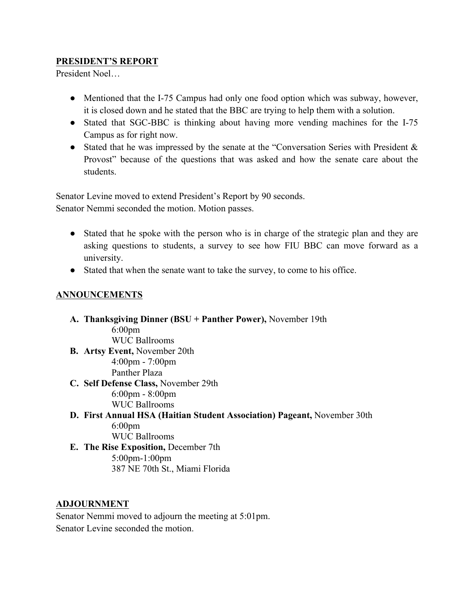## **PRESIDENT'S REPORT**

President Noel…

- Mentioned that the I-75 Campus had only one food option which was subway, however, it is closed down and he stated that the BBC are trying to help them with a solution.
- Stated that SGC-BBC is thinking about having more vending machines for the I-75 Campus as for right now.
- Stated that he was impressed by the senate at the "Conversation Series with President & Provost" because of the questions that was asked and how the senate care about the students.

Senator Levine moved to extend President's Report by 90 seconds.

Senator Nemmi seconded the motion. Motion passes.

- Stated that he spoke with the person who is in charge of the strategic plan and they are asking questions to students, a survey to see how FIU BBC can move forward as a university.
- Stated that when the senate want to take the survey, to come to his office.

## **ANNOUNCEMENTS**

- **A. Thanksgiving Dinner (BSU + Panther Power),** November 19th 6:00pm WUC Ballrooms **B. Artsy Event,** November 20th 4:00pm - 7:00pm Panther Plaza **C. Self Defense Class,** November 29th 6:00pm - 8:00pm
	- WUC Ballrooms
- **D. First Annual HSA (Haitian Student Association) Pageant,** November 30th 6:00pm WUC Ballrooms
- **E. The Rise Exposition,** December 7th 5:00pm-1:00pm 387 NE 70th St., Miami Florida

### **ADJOURNMENT**

Senator Nemmi moved to adjourn the meeting at 5:01pm. Senator Levine seconded the motion.